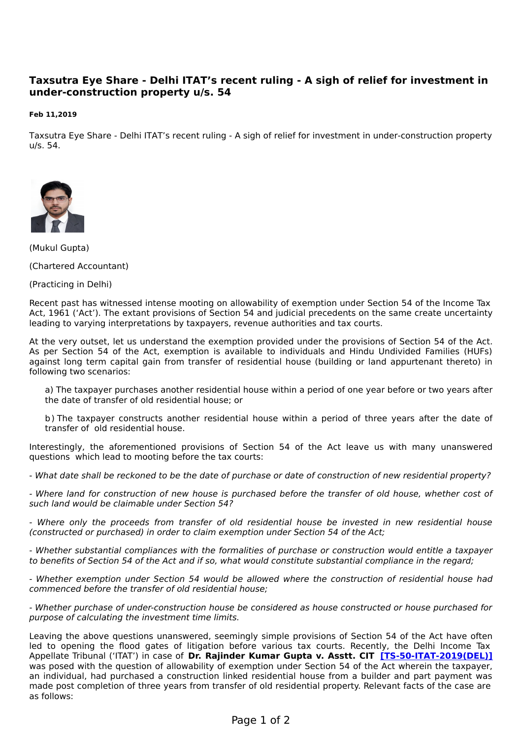## **Taxsutra Eye Share - Delhi ITAT's recent ruling - A sigh of relief for investment in under-construction property u/s. 54**

## **Feb 11,2019**

Taxsutra Eye Share - Delhi ITAT's recent ruling - A sigh of relief for investment in under-construction property u/s. 54.



(Mukul Gupta)

(Chartered Accountant)

(Practicing in Delhi)

Recent past has witnessed intense mooting on allowability of exemption under Section 54 of the Income Tax Act, 1961 ('Act'). The extant provisions of Section 54 and judicial precedents on the same create uncertainty leading to varying interpretations by taxpayers, revenue authorities and tax courts.

At the very outset, let us understand the exemption provided under the provisions of Section 54 of the Act. As per Section 54 of the Act, exemption is available to individuals and Hindu Undivided Families (HUFs) against long term capital gain from transfer of residential house (building or land appurtenant thereto) in following two scenarios:

a) The taxpayer purchases another residential house within a period of one year before or two years after the date of transfer of old residential house; or

b) The taxpayer constructs another residential house within a period of three years after the date of transfer of old residential house.

Interestingly, the aforementioned provisions of Section 54 of the Act leave us with many unanswered questions which lead to mooting before the tax courts:

- What date shall be reckoned to be the date of purchase or date of construction of new residential property?

- Where land for construction of new house is purchased before the transfer of old house, whether cost of such land would be claimable under Section 54?

- Where only the proceeds from transfer of old residential house be invested in new residential house (constructed or purchased) in order to claim exemption under Section 54 of the Act;

- Whether substantial compliances with the formalities of purchase or construction would entitle a taxpayer to benefits of Section 54 of the Act and if so, what would constitute substantial compliance in the regard;

- Whether exemption under Section 54 would be allowed where the construction of residential house had commenced before the transfer of old residential house;

- Whether purchase of under-construction house be considered as house constructed or house purchased for purpose of calculating the investment time limits.

Leaving the above questions unanswered, seemingly simple provisions of Section 54 of the Act have often led to opening the flood gates of litigation before various tax courts. Recently, the Delhi Income Tax Appellate Tribunal ('ITAT') in case of **Dr. Rajinder Kumar Gupta v. Asstt. CIT [\[TS-50-ITAT-2019\(DEL\)\]](http://www.taxsutra.com/analysis/21942/Allows-Sec-54-exemption-for-amount-invested-towards-construction-before-sale-of-house-property)** was posed with the question of allowability of exemption under Section 54 of the Act wherein the taxpayer, an individual, had purchased a construction linked residential house from a builder and part payment was made post completion of three years from transfer of old residential property. Relevant facts of the case are as follows: